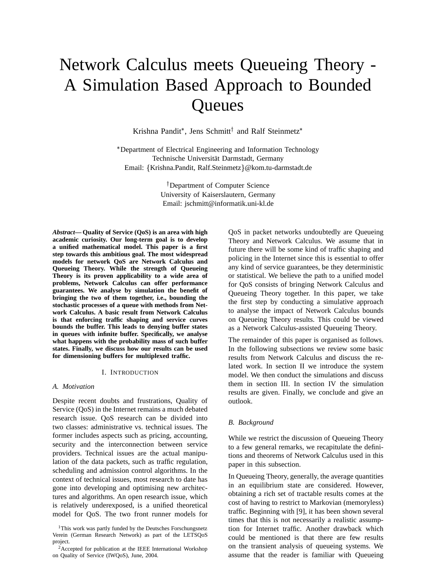# Network Calculus meets Queueing Theory - A Simulation Based Approach to Bounded **Queues**

Krishna Pandit\*, Jens Schmitt<sup>†</sup> and Ralf Steinmetz\*

 Department of Electrical Engineering and Information Technology Technische Universität Darmstadt, Germany Email: {Krishna.Pandit, Ralf.Steinmetz}@kom.tu-darmstadt.de

> Department of Computer Science University of Kaiserslautern, Germany Email: jschmitt@informatik.uni-kl.de

*Abstract***— Quality of Service (QoS) is an area with high academic curiosity. Our long-term goal is to develop a unified mathematical model. This paper is a first step towards this ambitious goal. The most widespread models for network QoS are Network Calculus and Queueing Theory. While the strength of Queueing Theory is its proven applicability to a wide area of problems, Network Calculus can offer performance guarantees. We analyse by simulation the benefit of bringing the two of them together, i.e., bounding the stochastic processes of a queue with methods from Network Calculus. A basic result from Network Calculus is that enforcing traffic shaping and service curves bounds the buffer. This leads to denying buffer states in queues with infinite buffer. Specifically, we analyse what happens with the probability mass of such buffer states. Finally, we discuss how our results can be used for dimensioning buffers for multiplexed traffic.**

#### I. INTRODUCTION

#### *A. Motivation*

Despite recent doubts and frustrations, Quality of Service (QoS) in the Internet remains a much debated research issue. QoS research can be divided into two classes: administrative vs. technical issues. The former includes aspects such as pricing, accounting, security and the interconnection between service providers. Technical issues are the actual manipulation of the data packets, such as traffic regulation, scheduling and admission control algorithms. In the context of technical issues, most research to date has gone into developing and optimising new architectures and algorithms. An open research issue, which is relatively underexposed, is a unified theoretical model for QoS. The two front runner models for QoS in packet networks undoubtedly are Queueing Theory and Network Calculus. We assume that in future there will be some kind of traffic shaping and policing in the Internet since this is essential to offer any kind of service guarantees, be they deterministic or statistical. We believe the path to a unified model for QoS consists of bringing Network Calculus and Queueing Theory together. In this paper, we take the first step by conducting a simulative approach to analyse the impact of Network Calculus bounds on Queueing Theory results. This could be viewed as a Network Calculus-assisted Queueing Theory.

The remainder of this paper is organised as follows. In the following subsections we review some basic results from Network Calculus and discuss the related work. In section II we introduce the system model. We then conduct the simulations and discuss them in section III. In section IV the simulation results are given. Finally, we conclude and give an outlook.

## *B. Background*

While we restrict the discussion of Queueing Theory to a few general remarks, we recapitulate the definitions and theorems of Network Calculus used in this paper in this subsection.

In Queueing Theory, generally, the average quantities in an equilibrium state are considered. However, obtaining a rich set of tractable results comes at the cost of having to restrict to Markovian (memoryless) traffic. Beginning with [9], it has been shown several times that this is not necessarily a realistic assumption for Internet traffic. Another drawback which could be mentioned is that there are few results on the transient analysis of queueing systems. We assume that the reader is familiar with Queueing

<sup>&</sup>lt;sup>1</sup>This work was partly funded by the Deutsches Forschungsnetz Verein (German Research Network) as part of the LETSQoS project.

<sup>2</sup>Accepted for publication at the IEEE International Workshop on Quality of Service (IWQoS), June, 2004.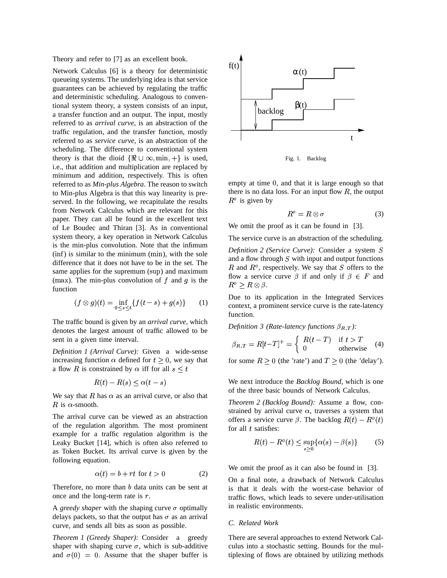Theory and refer to [7] as an excellent book.

Network Calculus [6] is a theory for deterministic queueing systems. The underlying idea is that service guarantees can be achieved by regulating the traffic and deterministic scheduling. Analogous to conventional system theory, a system consists of an input, a transfer function and an output. The input, mostly referred to as *arrival curve*, is an abstraction of the traffic regulation, and the transfer function, mostly referred to as *service curve*, is an abstraction of the scheduling. The difference to conventional system theory is that the dioid  $\{\Re \cup \infty, \min, +\}$  is used, i.e., that addition and multiplication are replaced by minimum and addition, respectively. This is often referred to as *Min-plus Algebra*. The reason to switch to Min-plus Algebra is that this way linearity is preserved. In the following, we recapitulate the results from Network Calculus which are relevant for this paper. They can all be found in the excellent text of Le Boudec and Thiran [3]. As in conventional system theory, a key operation in Network Calculus is the min-plus convolution. Note that the infimum  $(inf)$  is similar to the minimum  $(min)$ , with the sole difference that it does not have to be in the set. The same applies for the supremum (sup) and maximum (max). The min-plus convolution of  $f$  and  $g$  is the function

$$
(f \otimes g)(t) = \inf_{0 \le s \le t} \{f(t-s) + g(s)\} \tag{1}
$$

The traffic bound is given by an *arrival curve*, which denotes the largest amount of traffic allowed to be sent in a given time interval.

*Definition 1 (Arrival Curve):* Given a wide-sense increasing function  $\alpha$  defined for  $t \geq 0$ , we say that increasing function  $\alpha$  defined for  $t \ge 0$ , we say that a flow R is constrained by  $\alpha$  iff for all  $s \le t$ 

$$
R(t) - R(s) \le \alpha(t - s)
$$

We say that R has  $\alpha$  as an arrival curve, or also that R is  $\alpha$ -smooth.

The arrival curve can be viewed as an abstraction of the regulation algorithm. The most prominent example for a traffic regulation algorithm is the Leaky Bucket [14], which is often also referred to as Token Bucket. Its arrival curve is given by the following equation.

$$
\alpha(t) = b + rt \text{ for } t > 0 \tag{2}
$$

Therefore, no more than  $b$  data units can be sent at once and the long-term rate is  $r$ .

A *greedy shaper* with the shaping curve  $\sigma$  optimally delays packets, so that the output has  $\sigma$  as an arrival curve, and sends all bits as soon as possible.

*Theorem 1 (Greedy Shaper):* Consider a greedy shaper with shaping curve  $\sigma$ , which is sub-additive shaper with shaping curve  $\sigma$ , which is sub-additive and  $\sigma(0) = 0$ . Assume that the shaper buffer is



Fig. 1. Backlog

empty at time 0, and that it is large enough so that there is no data loss. For an input flow  $R$ , the output  $R^{\circ}$  is given by

$$
R^o = R \otimes \sigma \tag{3}
$$

We omit the proof as it can be found in [3].

The service curve is an abstraction of the scheduling.

*Definition* 2 *(Service Curve)*: Consider a system S and a flow through  $S$  with input and output functions R and  $R^{\circ}$ , respectively. We say that S offers to the flow a service curve  $\beta$  if and only if  $\beta \in F$  and  $R^o \geq R \otimes \beta$ .

Due to its application in the Integrated Services context, a prominent service curve is the rate-latency function.

*Definition* 3 (Rate-latency functions  $\beta_{R,T}$ ):

$$
\beta_{R,T} = R[t-T]^+ = \begin{cases} R(t-T) & \text{if } t > T \\ 0 & \text{otherwise} \end{cases}
$$
 (4)

for some  $R \ge 0$  (the 'rate') and  $T \ge 0$  (the 'delay').

We next introduce the *Backlog Bound*, which is one of the three basic bounds of Network Calculus.

*Theorem 2 (Backlog Bound):* Assume a flow, constrained by arrival curve  $\alpha$ , traverses a system that strained by arrival curve  $\alpha$ , traverses a system that offers a service curve  $\beta$ . The backlog  $R(t) - R<sup>o</sup>(t)$ offers a service c<br>for all t satisfies:

$$
R(t) - Ro(t) \le \sup_{s \ge 0} {\alpha(s) - \beta(s)}
$$
 (5)

We omit the proof as it can also be found in [3].

On a final note, a drawback of Network Calculus is that it deals with the worst-case behavior of traffic flows, which leads to severe under-utilisation in realistic environments.

#### *C. Related Work*

There are several approaches to extend Network Calculus into a stochastic setting. Bounds for the multiplexing of flows are obtained by utilizing methods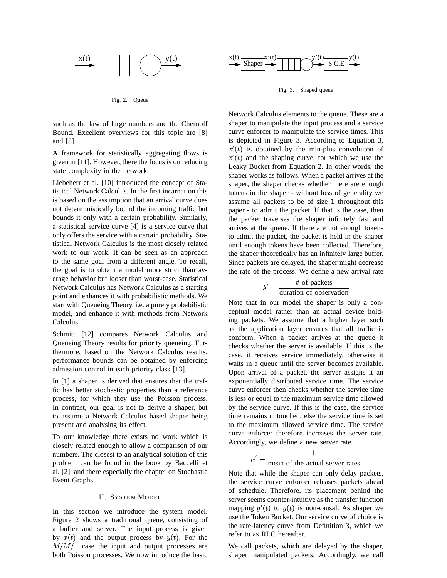

Fig. 2. Queue

such as the law of large numbers and the Chernoff Bound. Excellent overviews for this topic are [8] and [5].

A framework for statistically aggregating flows is given in [11]. However, there the focus is on reducing state complexity in the network.

Liebeherr et al. [10] introduced the concept of Statistical Network Calculus. In the first incarnation this is based on the assumption that an arrival curve does not deterministically bound the incoming traffic but bounds it only with a certain probability. Similarly, a statistical service curve [4] is a service curve that only offers the service with a certain probability. Statistical Network Calculus is the most closely related work to our work. It can be seen as an approach to the same goal from a different angle. To recall, the goal is to obtain a model more strict than average behavior but looser than worst-case. Statistical Network Calculus has Network Calculus as a starting point and enhances it with probabilistic methods. We start with Queueing Theory, i.e. a purely probabilistic model, and enhance it with methods from Network Calculus.

Schmitt [12] compares Network Calculus and Queueing Theory results for priority queueing. Furthermore, based on the Network Calculus results, performance bounds can be obtained by enforcing admission control in each priority class [13].

In [1] a shaper is derived that ensures that the traffic has better stochastic properties than a reference process, for which they use the Poisson process. In contrast, our goal is not to derive a shaper, but to assume a Network Calculus based shaper being present and analysing its effect.

To our knowledge there exists no work which is closely related enough to allow a comparison of our numbers. The closest to an analytical solution of this problem can be found in the book by Baccelli et al. [2], and there especially the chapter on Stochastic Event Graphs.

#### II. SYSTEM MODEL

In this section we introduce the system model. Figure 2 shows a traditional queue, consisting of a buffer and server. The input process is given by  $x(t)$  and the output process by  $y(t)$ . For the  $M/M/1$  case the input and output processes are both Poisson processes. We now introduce the basic



Fig. 3. Shaped queue

Network Calculus elements to the queue. These are a shaper to manipulate the input process and a service curve enforcer to manipulate the service times. This is depicted in Figure 3. According to Equation 3,  $x'(t)$  is obtained by the min-plus convoluiton of  $x'(t)$  and the shaping curve, for which we use the Leaky Bucket from Equation 2. In other words, the shaper works as follows. When a packet arrives at the shaper, the shaper checks whether there are enough tokens in the shaper - without loss of generality we assume all packets to be of size 1 throughout this paper - to admit the packet. If that is the case, then the packet traverses the shaper infinitely fast and arrives at the queue. If there are not enough tokens to admit the packet, the packet is held in the shaper until enough tokens have been collected. Therefore, the shaper theoretically has an infinitely large buffer. Since packets are delayed, the shaper might decrease the rate of the process. We define a new arrival rate

$$
\lambda' = \frac{\text{\# of packets}}{\text{duration of observation}}
$$

Note that in our model the shaper is only a conceptual model rather than an actual device holding packets. We assume that a higher layer such as the application layer ensures that all traffic is conform. When a packet arrives at the queue it checks whether the server is available. If this is the case, it receives service immediately, otherwise it waits in a queue until the server becomes available. Upon arrival of a packet, the server assigns it an exponentially distributed service time. The service curve enforcer then checks whether the service time is less or equal to the maximum service time allowed by the service curve. If this is the case, the service time remains untouched, else the service time is set to the maximum allowed service time. The service curve enforcer therefore increases the server rate. Accordingly, we define a new server rate

$$
\mu' = \frac{1}{\text{mean of the actual server rates}}
$$

Note that while the shaper can only delay packets, the service curve enforcer releases packets ahead of schedule. Therefore, its placement behind the server seems counter-intuitive as the transfer function server seems counter-intuitive as the transfer function<br>mapping  $y'(t)$  to  $y(t)$  is non-causal. As shaper we use the Token Bucket. Our service curve of choice is the rate-latency curve from Definition 3, which we refer to as RLC hereafter.

We call packets, which are delayed by the shaper, shaper manipulated packets. Accordingly, we call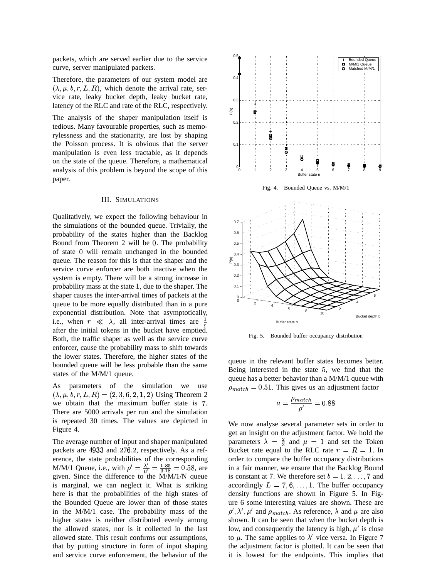packets, which are served earlier due to the service curve, server manipulated packets.

Therefore, the parameters of our system model are  $\lambda, \mu, b, r, L, R$ , which denote the arrival rate, service rate, leaky bucket depth, leaky bucket rate, latency of the RLC and rate of the RLC, respectively.

The analysis of the shaper manipulation itself is tedious. Many favourable properties, such as memorylessness and the stationarity, are lost by shaping the Poisson process. It is obvious that the server manipulation is even less tractable, as it depends on the state of the queue. Therefore, a mathematical analysis of this problem is beyond the scope of this paper.

#### III. SIMULATIONS

Qualitatively, we expect the following behaviour in the simulations of the bounded queue. Trivially, the probability of the states higher than the Backlog probability of the states higher than the Backlog<br>Bound from Theorem 2 will be 0. The probability Bound from Theorem 2 will be 0. The probability<br>of state 0 will remain unchanged in the bounded queue. The reason for this is that the shaper and the service curve enforcer are both inactive when the system is empty. There will be a strong increase in probability mass at the state 1, due to the shaper. The shaper causes the inter-arrival times of packets at the queue to be more equally distributed than in a pure exponential distribution. Note that asymptotically, i.e., when  $r \ll \lambda$ , all inter-arrival times are  $\frac{1}{r}$ after the initial tokens in the bucket have emptied. Both, the traffic shaper as well as the service curve enforcer, cause the probability mass to shift towards the lower states. Therefore, the higher states of the bounded queue will be less probable than the same states of the M/M/1 queue.

As parameters of the simulation we use  $(\lambda, \mu, b, r, L, R) = (2, 3, 6, 2, 1, 2)$  Using Theorem 2 is parameters of the simulation we use<br>  $\lambda, \mu, b, r, L, R$  = (2,3,6,2,1,2) Using Theorem 2 we obtain that the maximum buffer state is 7. There are 5000 arrivals per run and the simulation is repeated 30 times. The values are depicted in Figure 4.

The average number of input and shaper manipulated The average number of input and shaper manipulated<br>packets are 4933 and 276.2, respectively. As a reference, the state probabilities of the corresponding <sup>8</sup> M/M/1 Queue, i.e., with  $\rho' = \frac{\lambda'}{\mu'} = \frac{1.85}{3.18} = 0.58$ , are<br>given Since the difference to the M/M/1/N gueue given. Since the difference to the M/M/1/N queue is marginal, we can neglect it. What is striking here is that the probabilities of the high states of the Bounded Queue are lower than of those states in the M/M/1 case. The probability mass of the higher states is neither distributed evenly among the allowed states, nor is it collected in the last allowed state. This result confirms our assumptions, that by putting structure in form of input shaping and service curve enforcement, the behavior of the



Fig. 4. Bounded Queue vs. M/M/1



Fig. 5. Bounded buffer occupancy distribution

queue in the relevant buffer states becomes better. Being interested in the state 5, we find that the queue has a better behavior than a M/M/1 queue with  $\rho_{match} = 0.51$ . This gives us an adjustment factor

$$
a=\frac{\rho_{match}}{\rho'}=0.88
$$

We now analyse several parameter sets in order to get an insight on the adjustment factor. We hold the parameters  $\lambda = \frac{2}{3}$  and  $\mu = 1$  and set the Token Bucket rate equal to the RLC rate  $r = R = 1$ . In order to compare the buffer occupancy distributions in a fair manner, we ensure that the Backlog Bound in a fair manner, we ensure that the Backlog Bound<br>is constant at 7. We therefore set  $b = 1, 2, ..., 7$  and accordingly  $L = 7, 6, \ldots, 1$ . The buffer occupancy density functions are shown in Figure 5. In Figure 6 some interesting values are shown. These are  $\rho', \lambda', \mu'$  and  $\rho_{match}$ . As reference,  $\lambda$  and  $\mu$  are also shown. It can be seen that when the bucket depth is low, and consequently the latency is high,  $\mu'$  is close to  $\mu$ . The same applies to  $\lambda'$  vice versa. In Figure 7 the adjustment factor is plotted. It can be seen that it is lowest for the endpoints. This implies that